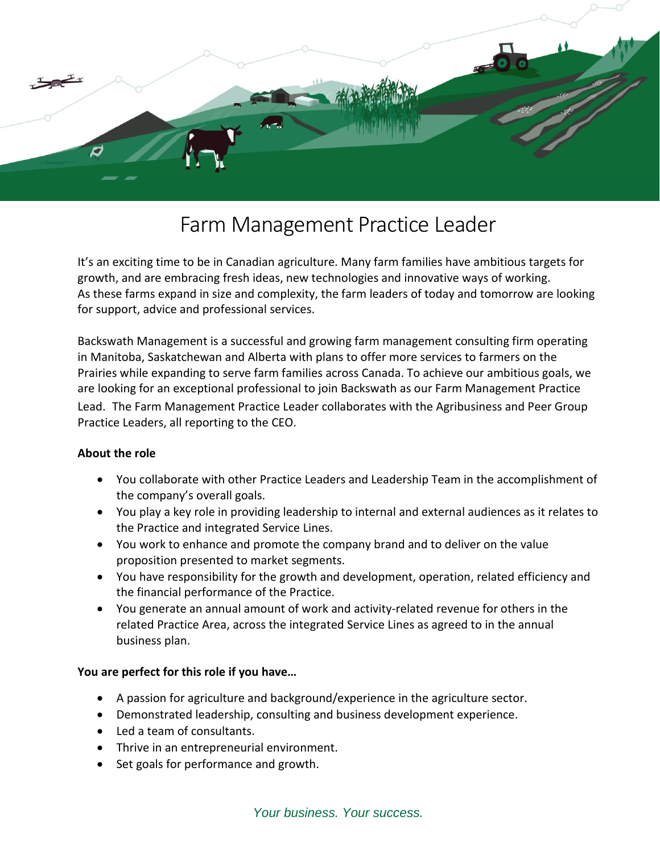

## Farm Management Practice Leader

It's an exciting time to be in Canadian agriculture. Many farm families have ambitious targets for growth, and are embracing fresh ideas, new technologies and innovative ways of working. As these farms expand in size and complexity, the farm leaders of today and tomorrow are looking for support, advice and professional services.

Backswath Management is a successful and growing farm management consulting firm operating in Manitoba, Saskatchewan and Alberta with plans to offer more services to farmers on the Prairies while expanding to serve farm families across Canada. To achieve our ambitious goals, we are looking for an exceptional professional to join Backswath as our Farm Management Practice Lead. The Farm Management Practice Leader collaborates with the Agribusiness and Peer Group Practice Leaders, all reporting to the CEO.

## **About the role**

- You collaborate with other Practice Leaders and Leadership Team in the accomplishment of the company's overall goals.
- You play a key role in providing leadership to internal and external audiences as it relates to the Practice and integrated Service Lines.
- You work to enhance and promote the company brand and to deliver on the value proposition presented to market segments.
- You have responsibility for the growth and development, operation, related efficiency and the financial performance of the Practice.
- You generate an annual amount of work and activity-related revenue for others in the related Practice Area, across the integrated Service Lines as agreed to in the annual business plan.

## **You are perfect for this role if you have…**

- A passion for agriculture and background/experience in the agriculture sector.
- Demonstrated leadership, consulting and business development experience.
- Led a team of consultants.
- Thrive in an entrepreneurial environment.
- Set goals for performance and growth.